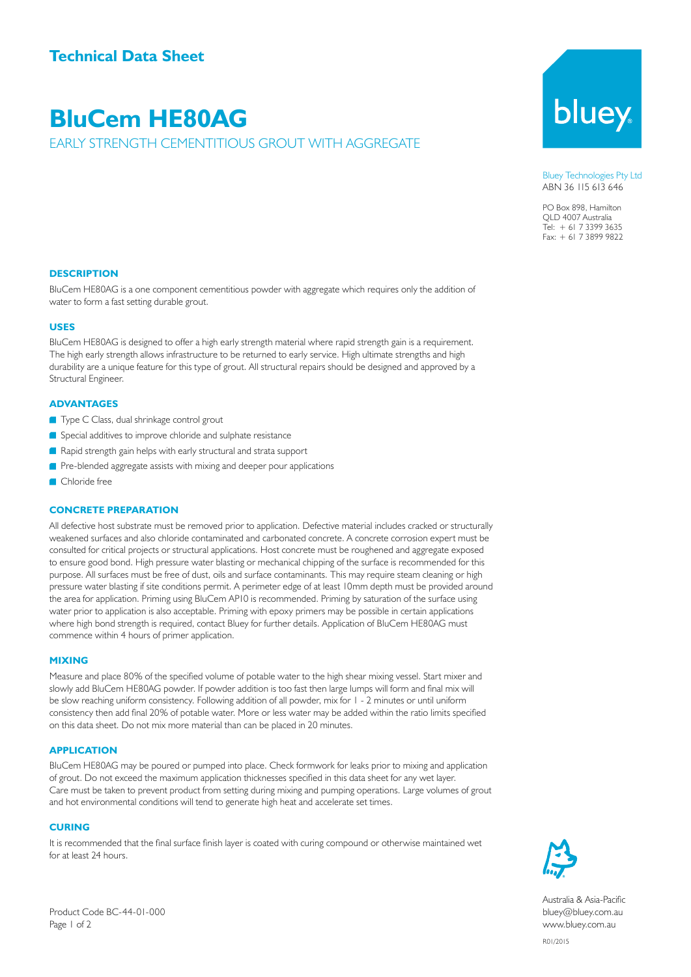# **BluCem HE80AG**

## EARLY STRENGTH CEMENTITIOUS GROUT WITH AGGREGATE

#### Bluey Technologies Pty Ltd ABN 36 115 613 646

bluey

PO Box 898, Hamilton QLD 4007 Australia Tel: + 61 7 3399 3635 Fax: + 61 7 3899 9822

#### **DESCRIPTION**

BluCem HE80AG is a one component cementitious powder with aggregate which requires only the addition of water to form a fast setting durable grout.

#### **USES**

BluCem HE80AG is designed to offer a high early strength material where rapid strength gain is a requirement. The high early strength allows infrastructure to be returned to early service. High ultimate strengths and high durability are a unique feature for this type of grout. All structural repairs should be designed and approved by a Structural Engineer.

#### **ADVANTAGES**

- **Type C Class, dual shrinkage control grout**
- Special additives to improve chloride and sulphate resistance
- Rapid strength gain helps with early structural and strata support
- Pre-blended aggregate assists with mixing and deeper pour applications
- Chloride free

### **CONCRETE PREPARATION**

All defective host substrate must be removed prior to application. Defective material includes cracked or structurally weakened surfaces and also chloride contaminated and carbonated concrete. A concrete corrosion expert must be consulted for critical projects or structural applications. Host concrete must be roughened and aggregate exposed to ensure good bond. High pressure water blasting or mechanical chipping of the surface is recommended for this purpose. All surfaces must be free of dust, oils and surface contaminants. This may require steam cleaning or high pressure water blasting if site conditions permit. A perimeter edge of at least 10mm depth must be provided around the area for application. Priming using BluCem AP10 is recommended. Priming by saturation of the surface using water prior to application is also acceptable. Priming with epoxy primers may be possible in certain applications where high bond strength is required, contact Bluey for further details. Application of BluCem HE80AG must commence within 4 hours of primer application.

#### **MIXING**

Measure and place 80% of the specified volume of potable water to the high shear mixing vessel. Start mixer and slowly add BluCem HE80AG powder. If powder addition is too fast then large lumps will form and final mix will be slow reaching uniform consistency. Following addition of all powder, mix for 1 - 2 minutes or until uniform consistency then add final 20% of potable water. More or less water may be added within the ratio limits specified on this data sheet. Do not mix more material than can be placed in 20 minutes.

#### **APPLICATION**

BluCem HE80AG may be poured or pumped into place. Check formwork for leaks prior to mixing and application of grout. Do not exceed the maximum application thicknesses specified in this data sheet for any wet layer. Care must be taken to prevent product from setting during mixing and pumping operations. Large volumes of grout and hot environmental conditions will tend to generate high heat and accelerate set times.

#### **CURING**

It is recommended that the final surface finish layer is coated with curing compound or otherwise maintained wet for at least 24 hours.



Australia & Asia-Pacific bluey@bluey.com.au www.bluey.com.au

Product Code BC-44-01-000 Page 1 of 2

#### R01/2015